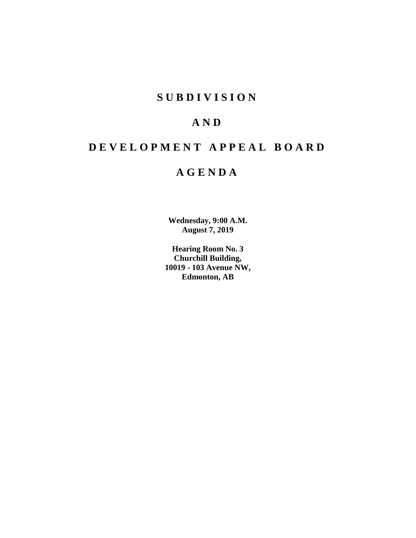## **SUBDIVISION**

# **AND**

# **DEVELOPMENT APPEAL BOARD**

## **AGENDA**

**Wednesday, 9:00 A.M. August 7, 2019**

**Hearing Room No. 3 Churchill Building, 10019 - 103 Avenue NW, Edmonton, AB**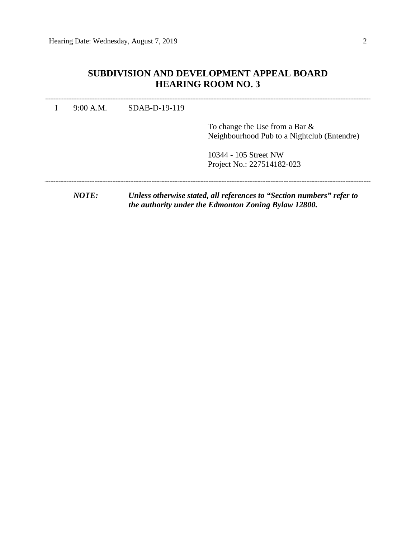### **SUBDIVISION AND DEVELOPMENT APPEAL BOARD HEARING ROOM NO. 3**

I 9:00 A.M. SDAB-D-19-119

To change the Use from a Bar & Neighbourhood Pub to a Nightclub (Entendre)

10344 - 105 Street NW Project No.: 227514182-023

*NOTE: Unless otherwise stated, all references to "Section numbers" refer to the authority under the Edmonton Zoning Bylaw 12800.*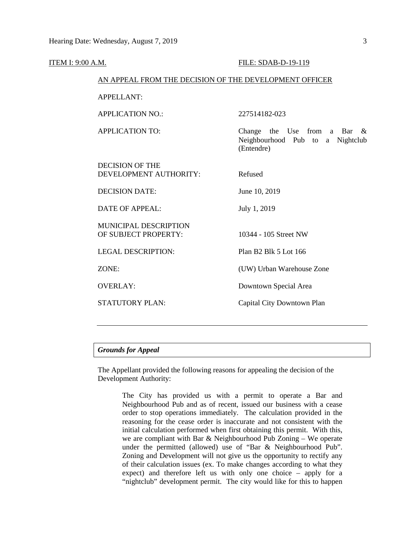| <b>ITEM I: 9:00 A.M.</b> |                                                                            | FILE: SDAB-D-19-119                                                                     |  |  |
|--------------------------|----------------------------------------------------------------------------|-----------------------------------------------------------------------------------------|--|--|
|                          | AN APPEAL FROM THE DECISION OF THE DEVELOPMENT OFFICER                     |                                                                                         |  |  |
|                          | APPELLANT:                                                                 |                                                                                         |  |  |
|                          | <b>APPLICATION NO.:</b>                                                    | 227514182-023                                                                           |  |  |
|                          | <b>APPLICATION TO:</b>                                                     | Change the Use from a Bar<br>$\alpha$<br>Neighbourhood Pub to a Nightclub<br>(Entendre) |  |  |
|                          | <b>DECISION OF THE</b><br>DEVELOPMENT AUTHORITY:                           | Refused                                                                                 |  |  |
|                          | <b>DECISION DATE:</b>                                                      | June 10, 2019                                                                           |  |  |
|                          | <b>DATE OF APPEAL:</b>                                                     | July 1, 2019                                                                            |  |  |
|                          | MUNICIPAL DESCRIPTION<br>OF SUBJECT PROPERTY:<br><b>LEGAL DESCRIPTION:</b> | 10344 - 105 Street NW<br>Plan B2 Blk 5 Lot 166                                          |  |  |
|                          |                                                                            |                                                                                         |  |  |
|                          | ZONE:                                                                      | (UW) Urban Warehouse Zone                                                               |  |  |
|                          | <b>OVERLAY:</b>                                                            | Downtown Special Area                                                                   |  |  |
|                          | STATUTORY PLAN:                                                            | Capital City Downtown Plan                                                              |  |  |
|                          |                                                                            |                                                                                         |  |  |

### *Grounds for Appeal*

The Appellant provided the following reasons for appealing the decision of the Development Authority:

> The City has provided us with a permit to operate a Bar and Neighbourhood Pub and as of recent, issued our business with a cease order to stop operations immediately. The calculation provided in the reasoning for the cease order is inaccurate and not consistent with the initial calculation performed when first obtaining this permit. With this, we are compliant with Bar & Neighbourhood Pub Zoning – We operate under the permitted (allowed) use of "Bar & Neighbourhood Pub". Zoning and Development will not give us the opportunity to rectify any of their calculation issues (ex. To make changes according to what they expect) and therefore left us with only one choice – apply for a "nightclub" development permit. The city would like for this to happen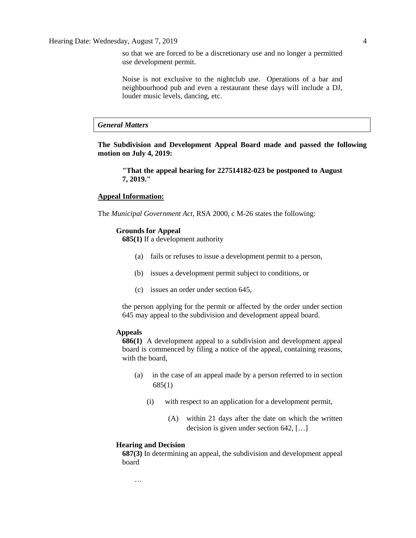so that we are forced to be a discretionary use and no longer a permitted use development permit.

Noise is not exclusive to the nightclub use. Operations of a bar and neighbourhood pub and even a restaurant these days will include a DJ, louder music levels, dancing, etc.

*General Matters*

**The Subdivision and Development Appeal Board made and passed the following motion on July 4, 2019:**

**"That the appeal hearing for 227514182-023 be postponed to August 7, 2019."**

#### **Appeal Information:**

The *Municipal Government Act*, RSA 2000, c M-26 states the following:

#### **Grounds for Appeal**

**685(1)** If a development authority

- (a) fails or refuses to issue a development permit to a person,
- (b) issues a development permit subject to conditions, or
- (c) issues an order under section 645,

the person applying for the permit or affected by the order under section 645 may appeal to the subdivision and development appeal board.

### **Appeals**

**686(1)** A development appeal to a subdivision and development appeal board is commenced by filing a notice of the appeal, containing reasons, with the board,

- (a) in the case of an appeal made by a person referred to in section 685(1)
	- (i) with respect to an application for a development permit,
		- (A) within 21 days after the date on which the written decision is given under section 642, […]

#### **Hearing and Decision**

…

**687(3)** In determining an appeal, the subdivision and development appeal board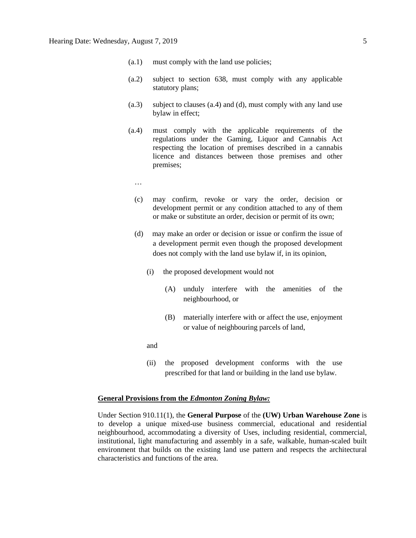- (a.1) must comply with the land use policies;
- (a.2) subject to section 638, must comply with any applicable statutory plans;
- (a.3) subject to clauses (a.4) and (d), must comply with any land use bylaw in effect;
- (a.4) must comply with the applicable requirements of the regulations under the Gaming, Liquor and Cannabis Act respecting the location of premises described in a cannabis licence and distances between those premises and other premises;
	- …
	- (c) may confirm, revoke or vary the order, decision or development permit or any condition attached to any of them or make or substitute an order, decision or permit of its own;
	- (d) may make an order or decision or issue or confirm the issue of a development permit even though the proposed development does not comply with the land use bylaw if, in its opinion,
		- (i) the proposed development would not
			- (A) unduly interfere with the amenities of the neighbourhood, or
			- (B) materially interfere with or affect the use, enjoyment or value of neighbouring parcels of land,
		- and
		- (ii) the proposed development conforms with the use prescribed for that land or building in the land use bylaw.

### **General Provisions from the** *Edmonton Zoning Bylaw:*

Under Section 910.11(1), the **General Purpose** of the **(UW) Urban Warehouse Zone** is to develop a unique mixed-use business commercial, educational and residential neighbourhood, accommodating a diversity of Uses, including residential, commercial, institutional, light manufacturing and assembly in a safe, walkable, human-scaled built environment that builds on the existing land use pattern and respects the architectural characteristics and functions of the area.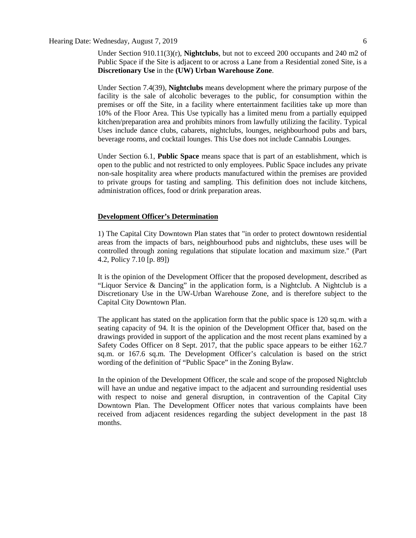### Hearing Date: Wednesday, August 7, 2019 6

Under Section 910.11(3)(r), **Nightclubs**, but not to exceed 200 occupants and 240 m2 of Public Space if the Site is adjacent to or across a Lane from a Residential zoned Site, is a **Discretionary Use** in the **(UW) Urban Warehouse Zone**.

Under Section 7.4(39), **Nightclubs** means development where the primary purpose of the facility is the sale of alcoholic beverages to the public, for consumption within the premises or off the Site, in a facility where entertainment facilities take up more than 10% of the Floor Area. This Use typically has a limited menu from a partially equipped kitchen/preparation area and prohibits minors from lawfully utilizing the facility. Typical Uses include dance clubs, cabarets, nightclubs, lounges, neighbourhood pubs and bars, beverage rooms, and cocktail lounges. This Use does not include Cannabis Lounges.

Under Section 6.1, **Public Space** means space that is part of an establishment, which is open to the public and not restricted to only employees. Public Space includes any private non-sale hospitality area where products manufactured within the premises are provided to private groups for tasting and sampling. This definition does not include kitchens, administration offices, food or drink preparation areas.

### **Development Officer's Determination**

1) The Capital City Downtown Plan states that "in order to protect downtown residential areas from the impacts of bars, neighbourhood pubs and nightclubs, these uses will be controlled through zoning regulations that stipulate location and maximum size." (Part 4.2, Policy 7.10 [p. 89])

It is the opinion of the Development Officer that the proposed development, described as "Liquor Service & Dancing" in the application form, is a Nightclub. A Nightclub is a Discretionary Use in the UW-Urban Warehouse Zone, and is therefore subject to the Capital City Downtown Plan.

The applicant has stated on the application form that the public space is 120 sq.m. with a seating capacity of 94. It is the opinion of the Development Officer that, based on the drawings provided in support of the application and the most recent plans examined by a Safety Codes Officer on 8 Sept. 2017, that the public space appears to be either 162.7 sq.m. or 167.6 sq.m. The Development Officer's calculation is based on the strict wording of the definition of "Public Space" in the Zoning Bylaw.

In the opinion of the Development Officer, the scale and scope of the proposed Nightclub will have an undue and negative impact to the adjacent and surrounding residential uses with respect to noise and general disruption, in contravention of the Capital City Downtown Plan. The Development Officer notes that various complaints have been received from adjacent residences regarding the subject development in the past 18 months.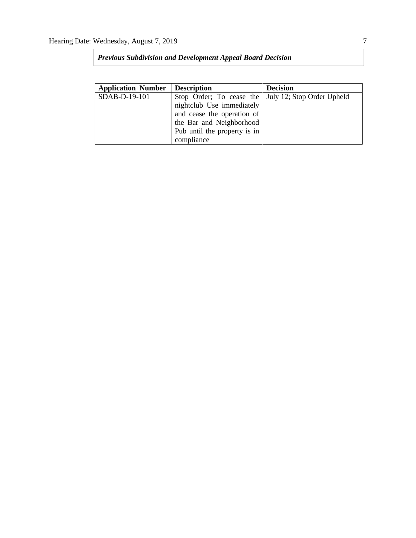| <b>Application Number</b> | <b>Description</b>                                    | <b>Decision</b> |
|---------------------------|-------------------------------------------------------|-----------------|
| SDAB-D-19-101             | Stop Order; To cease the   July 12; Stop Order Upheld |                 |
|                           | nightclub Use immediately                             |                 |
|                           | and cease the operation of                            |                 |
|                           | the Bar and Neighborhood                              |                 |
|                           | Pub until the property is in                          |                 |
|                           | compliance                                            |                 |

*Previous Subdivision and Development Appeal Board Decision*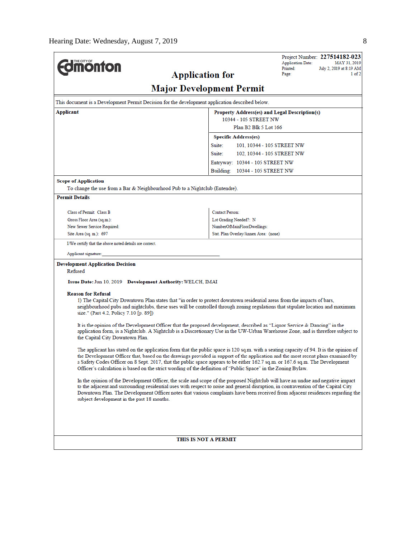|                                                                                                                                                                                                                                                                        |                                                            | Project Number: 227514182-023<br><b>Application Date:</b><br>MAY 31, 2019 |  |  |  |  |  |
|------------------------------------------------------------------------------------------------------------------------------------------------------------------------------------------------------------------------------------------------------------------------|------------------------------------------------------------|---------------------------------------------------------------------------|--|--|--|--|--|
| <b>Imonton</b><br><b>Application for</b>                                                                                                                                                                                                                               |                                                            | Printed:<br>July 2, 2019 at 8:19 AM<br>Page:<br>1 of 2                    |  |  |  |  |  |
|                                                                                                                                                                                                                                                                        |                                                            |                                                                           |  |  |  |  |  |
| <b>Major Development Permit</b>                                                                                                                                                                                                                                        |                                                            |                                                                           |  |  |  |  |  |
| This document is a Development Permit Decision for the development application described below.                                                                                                                                                                        |                                                            |                                                                           |  |  |  |  |  |
| Applicant<br>Property Address(es) and Legal Description(s)                                                                                                                                                                                                             |                                                            |                                                                           |  |  |  |  |  |
|                                                                                                                                                                                                                                                                        | 10344 - 105 STREET NW<br>Plan B <sub>2</sub> Blk 5 Lot 166 |                                                                           |  |  |  |  |  |
|                                                                                                                                                                                                                                                                        | <b>Specific Address(es)</b>                                |                                                                           |  |  |  |  |  |
|                                                                                                                                                                                                                                                                        | Suite:<br>101, 10344 - 105 STREET NW                       |                                                                           |  |  |  |  |  |
|                                                                                                                                                                                                                                                                        | Suite:<br>102, 10344 - 105 STREET NW                       |                                                                           |  |  |  |  |  |
|                                                                                                                                                                                                                                                                        | Entryway: 10344 - 105 STREET NW                            |                                                                           |  |  |  |  |  |
|                                                                                                                                                                                                                                                                        | Building: 10344 - 105 STREET NW                            |                                                                           |  |  |  |  |  |
| <b>Scope of Application</b>                                                                                                                                                                                                                                            |                                                            |                                                                           |  |  |  |  |  |
| To change the use from a Bar & Neighbourhood Pub to a Nightclub (Entendre).                                                                                                                                                                                            |                                                            |                                                                           |  |  |  |  |  |
| <b>Permit Details</b>                                                                                                                                                                                                                                                  |                                                            |                                                                           |  |  |  |  |  |
| Class of Permit: Class B                                                                                                                                                                                                                                               | <b>Contact Person:</b>                                     |                                                                           |  |  |  |  |  |
| Gross Floor Area (sq.m.):                                                                                                                                                                                                                                              | Lot Grading Needed?: N                                     |                                                                           |  |  |  |  |  |
| New Sewer Service Required:                                                                                                                                                                                                                                            | NumberOfMainFloorDwellings:                                |                                                                           |  |  |  |  |  |
| Site Area (sq. m.): 697                                                                                                                                                                                                                                                | Stat. Plan Overlay/Annex Area: (none)                      |                                                                           |  |  |  |  |  |
| I/We certify that the above noted details are correct.                                                                                                                                                                                                                 |                                                            |                                                                           |  |  |  |  |  |
| Applicant signature:                                                                                                                                                                                                                                                   |                                                            |                                                                           |  |  |  |  |  |
| <b>Development Application Decision</b>                                                                                                                                                                                                                                |                                                            |                                                                           |  |  |  |  |  |
| Refused                                                                                                                                                                                                                                                                |                                                            |                                                                           |  |  |  |  |  |
| Issue Date: Jun 10, 2019 Development Authority: WELCH, IMAI                                                                                                                                                                                                            |                                                            |                                                                           |  |  |  |  |  |
| <b>Reason for Refusal</b>                                                                                                                                                                                                                                              |                                                            |                                                                           |  |  |  |  |  |
| 1) The Capital City Downtown Plan states that "in order to protect downtown residential areas from the impacts of bars,                                                                                                                                                |                                                            |                                                                           |  |  |  |  |  |
| neighbourhood pubs and nightclubs, these uses will be controlled through zoning regulations that stipulate location and maximum<br>size." (Part 4.2, Policy 7.10 [p. 89])                                                                                              |                                                            |                                                                           |  |  |  |  |  |
|                                                                                                                                                                                                                                                                        |                                                            |                                                                           |  |  |  |  |  |
| It is the opinion of the Development Officer that the proposed development, described as "Liquor Service & Dancing" in the<br>application form, is a Nightclub. A Nightclub is a Discretionary Use in the UW-Urban Warehouse Zone, and is therefore subject to         |                                                            |                                                                           |  |  |  |  |  |
| the Capital City Downtown Plan.                                                                                                                                                                                                                                        |                                                            |                                                                           |  |  |  |  |  |
| The applicant has stated on the application form that the public space is 120 sq.m. with a seating capacity of 94. It is the opinion of                                                                                                                                |                                                            |                                                                           |  |  |  |  |  |
| the Development Officer that, based on the drawings provided in support of the application and the most recent plans examined by                                                                                                                                       |                                                            |                                                                           |  |  |  |  |  |
| a Safety Codes Officer on 8 Sept. 2017, that the public space appears to be either 162.7 sq.m. or 167.6 sq.m. The Development<br>Officer's calculation is based on the strict wording of the definition of "Public Space" in the Zoning Bylaw.                         |                                                            |                                                                           |  |  |  |  |  |
|                                                                                                                                                                                                                                                                        |                                                            |                                                                           |  |  |  |  |  |
| In the opinion of the Development Officer, the scale and scope of the proposed Nightclub will have an undue and negative impact<br>to the adjacent and surrounding residential uses with respect to noise and general disruption, in contravention of the Capital City |                                                            |                                                                           |  |  |  |  |  |
| Downtown Plan. The Development Officer notes that various complaints have been received from adjacent residences regarding the                                                                                                                                         |                                                            |                                                                           |  |  |  |  |  |
| subject development in the past 18 months.                                                                                                                                                                                                                             |                                                            |                                                                           |  |  |  |  |  |
|                                                                                                                                                                                                                                                                        |                                                            |                                                                           |  |  |  |  |  |
|                                                                                                                                                                                                                                                                        |                                                            |                                                                           |  |  |  |  |  |
|                                                                                                                                                                                                                                                                        |                                                            |                                                                           |  |  |  |  |  |
| THIS IS NOT A PERMIT                                                                                                                                                                                                                                                   |                                                            |                                                                           |  |  |  |  |  |
|                                                                                                                                                                                                                                                                        |                                                            |                                                                           |  |  |  |  |  |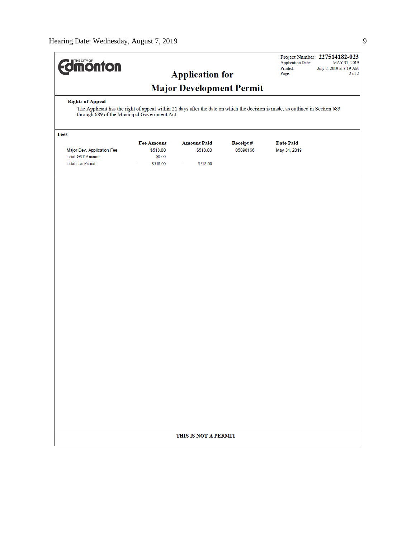| <b><i><u><del>Monton</del></u></i></b>                                                                                                                                                                   |                                                     | <b>Application for</b>                     |                             | <b>Application Date:</b><br>Printed:<br>Page: | Project Number: 227514182-023<br>MAY 31, 2019<br>July 2, 2019 at 8:19 AM<br>$2$ of $2$ |  |  |  |
|----------------------------------------------------------------------------------------------------------------------------------------------------------------------------------------------------------|-----------------------------------------------------|--------------------------------------------|-----------------------------|-----------------------------------------------|----------------------------------------------------------------------------------------|--|--|--|
|                                                                                                                                                                                                          |                                                     | <b>Major Development Permit</b>            |                             |                                               |                                                                                        |  |  |  |
| <b>Rights of Appeal</b><br>The Applicant has the right of appeal within 21 days after the date on which the decision is made, as outlined in Section 683<br>through 689 of the Municipal Government Act. |                                                     |                                            |                             |                                               |                                                                                        |  |  |  |
| Fees                                                                                                                                                                                                     |                                                     |                                            |                             |                                               |                                                                                        |  |  |  |
| Major Dev. Application Fee<br><b>Total GST Amount:</b><br><b>Totals for Permit:</b>                                                                                                                      | <b>Fee Amount</b><br>\$518.00<br>\$0.00<br>\$518.00 | <b>Amount Paid</b><br>\$518.00<br>\$518.00 | <b>Receipt#</b><br>05890166 | <b>Date Paid</b><br>May 31, 2019              |                                                                                        |  |  |  |
|                                                                                                                                                                                                          |                                                     |                                            |                             |                                               |                                                                                        |  |  |  |
|                                                                                                                                                                                                          |                                                     |                                            |                             |                                               |                                                                                        |  |  |  |
|                                                                                                                                                                                                          |                                                     |                                            |                             |                                               |                                                                                        |  |  |  |
|                                                                                                                                                                                                          |                                                     |                                            |                             |                                               |                                                                                        |  |  |  |
|                                                                                                                                                                                                          |                                                     |                                            |                             |                                               |                                                                                        |  |  |  |
|                                                                                                                                                                                                          |                                                     |                                            |                             |                                               |                                                                                        |  |  |  |
|                                                                                                                                                                                                          |                                                     |                                            |                             |                                               |                                                                                        |  |  |  |
|                                                                                                                                                                                                          |                                                     |                                            |                             |                                               |                                                                                        |  |  |  |
|                                                                                                                                                                                                          | THIS IS NOT A PERMIT                                |                                            |                             |                                               |                                                                                        |  |  |  |